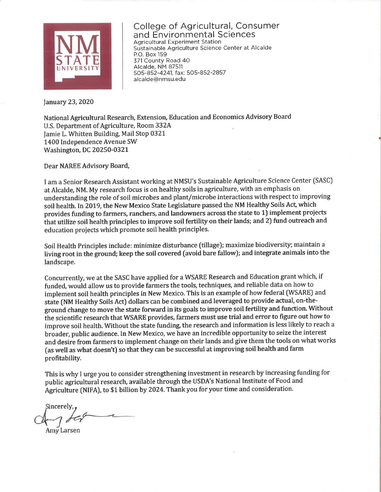

College of Agricultural, Consumer and Environmental Sciences **Agricultural Experiment Station** Sustainable Agriculture Science Center at Alcalde P.O. Box 159 371 County Road 40 Alcalde, NM 87511 505-852-4241, fax: 505-852-2857 alcalde@nmsu.edu

## January 23, 2020

National Agricultural Research, Extension, Education and Economics Advisory Board U.S. Department of Agriculture, Room 332A Jamie L. Whitten Building, Mail Stop 0321 1400 Independence Avenue SW **Washington, DC 20250-0321** 

Dear NAREE Advisory Board,

I am a Senior Research Assistant working at NMSU's Sustainable Agriculture Science Center (SASC) at Alcalde, NM. My research focus is on healthy soils in agriculture, with an emphasis on understanding the role of soil microbes and plant/microbe interactions with respect to improving soil health. In 2019, the New Mexico State Legislature passed the NM Healthy Soils Act, which provides funding to farmers, ranchers, and landowners across the state to 1) implement projects that utilize soil health principles to improve soil fertility on their lands; and 2) fund outreach and education projects which promote soil health principles.

Soil Health Principles include: minimize disturbance (tillage); maximize biodiversity; maintain a living root in the ground; keep the soil covered (avoid bare fallow); and integrate animals into the landscape.

Concurrently, we at the SASC have applied for a WSARE Research and Education grant which, if funded, would allow us to provide farmers the tools, techniques, and reliable data on how to implement soil health principles in New Mexico. This is an example of how federal (WSARE) and state (NM Healthy Soils Act) dollars can be combined and leveraged to provide actual, on-theground change to move the state forward in its goals to improve soil fertility and function. Without the scientific research that WSARE provides, farmers must use trial and error to figure out how to improve soil health. Without the state funding, the research and information is less likely to reach a broader, public audience. In New Mexico, we have an incredible opportunity to seize the interest and desire from farmers to implement change on their lands and give them the tools on what works (as well as what doesn't) so that they can be successful at improving soil health and farm profitability.

This is why I urge you to consider strengthening investment in research by increasing funding for public agricultural research, available through the USDA's National Institute of Food and Agriculture (NIFA), to \$1 billion by 2024. Thank you for your time and consideration.

Sincerely,

Amy Larsen